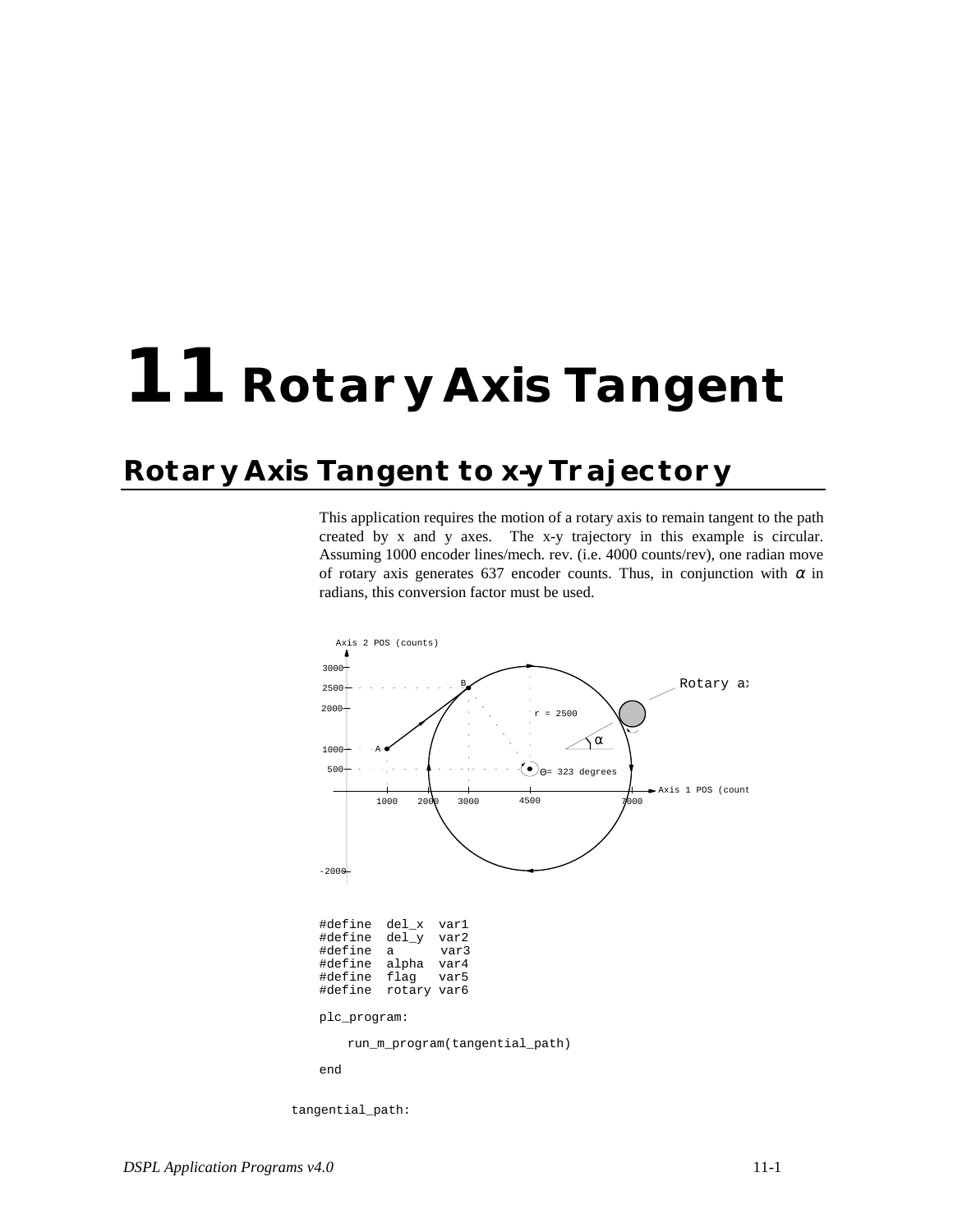## **11 Rotary Axis Tangent**

## **Rotary Axis Tangent to x-y Trajectory**

This application requires the motion of a rotary axis to remain tangent to the path created by x and y axes. The x-y trajectory in this example is circular. Assuming 1000 encoder lines/mech. rev. (i.e. 4000 counts/rev), one radian move of rotary axis generates 637 encoder counts. Thus, in conjunction with  $\alpha$  in radians, this conversion factor must be used.



tangential\_path: